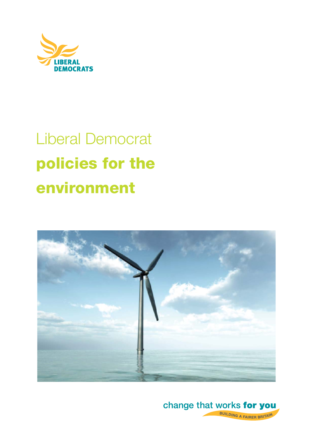

# Liberal Democrat **policies for the environment**



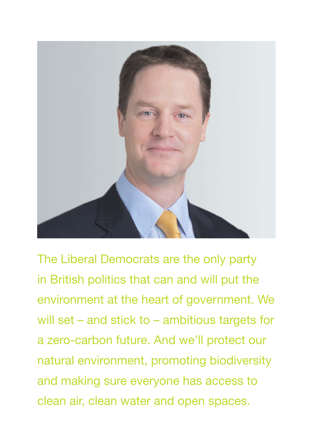

The Liberal Democrats are the only party in British politics that can and will put the environment at the heart of government. We will set – and stick to – ambitious targets for a zero-carbon future. And we'll protect our natural environment, promoting biodiversity and making sure everyone has access to clean air, clean water and open spaces.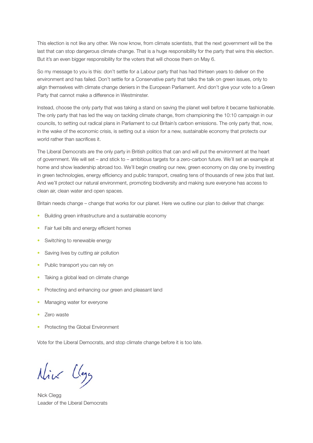This election is not like any other. We now know, from climate scientists, that the next government will be the last that can stop dangerous climate change. That is a huge responsibility for the party that wins this election. But it's an even bigger responsibility for the voters that will choose them on May 6.

So my message to you is this: don't settle for a Labour party that has had thirteen years to deliver on the environment and has failed. Don't settle for a Conservative party that talks the talk on green issues, only to align themselves with climate change deniers in the European Parliament. And don't give your vote to a Green Party that cannot make a difference in Westminster.

Instead, choose the only party that was taking a stand on saving the planet well before it became fashionable. The only party that has led the way on tackling climate change, from championing the 10:10 campaign in our councils, to setting out radical plans in Parliament to cut Britain's carbon emissions. The only party that, now, in the wake of the economic crisis, is setting out a vision for a new, sustainable economy that protects our world rather than sacrifices it.

The Liberal Democrats are the only party in British politics that can and will put the environment at the heart of government. We will set – and stick to – ambitious targets for a zero-carbon future. We'll set an example at home and show leadership abroad too. We'll begin creating our new, green economy on day one by investing in green technologies, energy efficiency and public transport, creating tens of thousands of new jobs that last. And we'll protect our natural environment, promoting biodiversity and making sure everyone has access to clean air, clean water and open spaces.

Britain needs change – change that works for our planet. Here we outline our plan to deliver that change:

- Building green infrastructure and a sustainable economy
- Fair fuel bills and energy efficient homes
- Switching to renewable energy
- Saving lives by cutting air pollution
- Public transport you can rely on
- Taking a global lead on climate change
- Protecting and enhancing our green and pleasant land
- Managing water for everyone
- Zero waste
- Protecting the Global Environment

Vote for the Liberal Democrats, and stop climate change before it is too late.

Nick Lloy

Nick Clegg Leader of the Liberal Democrats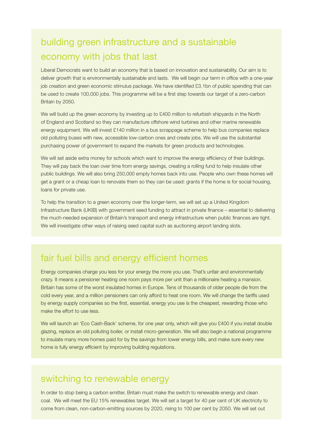## building green infrastructure and a sustainable economy with jobs that last

Liberal Democrats want to build an economy that is based on innovation and sustainability. Our aim is to deliver growth that is environmentally sustainable and lasts. We will begin our term in office with a one-year job creation and green economic stimulus package. We have identified £3.1bn of public spending that can be used to create 100,000 jobs. This programme will be a first step towards our target of a zero-carbon Britain by 2050.

We will build up the green economy by investing up to £400 million to refurbish shipyards in the North of England and Scotland so they can manufacture offshore wind turbines and other marine renewable energy equipment. We will invest £140 million in a bus scrappage scheme to help bus companies replace old polluting buses with new, accessible low-carbon ones and create jobs. We will use the substantial purchasing power of government to expand the markets for green products and technologies.

We will set aside extra money for schools which want to improve the energy efficiency of their buildings. They will pay back the loan over time from energy savings, creating a rolling fund to help insulate other public buildings. We will also bring 250,000 empty homes back into use. People who own these homes will get a grant or a cheap loan to renovate them so they can be used: grants if the home is for social housing, loans for private use.

To help the transition to a green economy over the longer-term, we will set up a United Kingdom Infrastructure Bank (UKIB) with government seed funding to attract in private finance – essential to delivering the much-needed expansion of Britain's transport and energy infrastructure when public finances are tight. We will investigate other ways of raising seed capital such as auctioning airport landing slots.

## fair fuel bills and energy efficient homes

Energy companies charge you less for your energy the more you use. That's unfair and environmentally crazy. It means a pensioner heating one room pays more per unit than a millionaire heating a mansion. Britain has some of the worst insulated homes in Europe. Tens of thousands of older people die from the cold every year, and a million pensioners can only afford to heat one room. We will change the tariffs used by energy supply companies so the first, essential, energy you use is the cheapest, rewarding those who make the effort to use less.

We will launch an 'Eco Cash-Back' scheme, for one year only, which will give you £400 if you install double glazing, replace an old polluting boiler, or install micro-generation. We will also begin a national programme to insulate many more homes paid for by the savings from lower energy bills, and make sure every new home is fully energy efficient by improving building regulations.

#### switching to renewable energy

In order to stop being a carbon emitter, Britain must make the switch to renewable energy and clean coal. We will meet the EU 15% renewables target. We will set a target for 40 per cent of UK electricity to come from clean, non-carbon-emitting sources by 2020, rising to 100 per cent by 2050. We will set out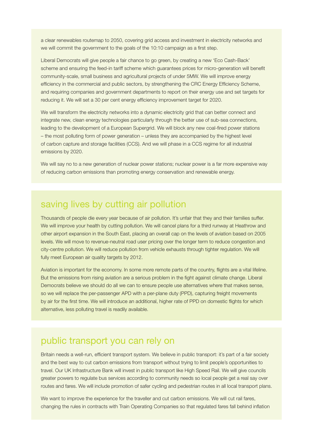a clear renewables routemap to 2050, covering grid access and investment in electricity networks and we will commit the government to the goals of the 10:10 campaign as a first step.

Liberal Democrats will give people a fair chance to go green, by creating a new 'Eco Cash-Back' scheme and ensuring the feed-in tariff scheme which guarantees prices for micro-generation will benefit community-scale, small business and agricultural projects of under 5MW. We will improve energy efficiency in the commercial and public sectors, by strengthening the CRC Energy Efficiency Scheme, and requiring companies and government departments to report on their energy use and set targets for reducing it. We will set a 30 per cent energy efficiency improvement target for 2020.

We will transform the electricity networks into a dynamic electricity grid that can better connect and integrate new, clean energy technologies particularly through the better use of sub-sea connections, leading to the development of a European Supergrid. We will block any new coal-fired power stations – the most polluting form of power generation – unless they are accompanied by the highest level of carbon capture and storage facilities (CCS). And we will phase in a CCS regime for all industrial emissions by 2020.

We will say no to a new generation of nuclear power stations; nuclear power is a far more expensive way of reducing carbon emissions than promoting energy conservation and renewable energy.

#### saving lives by cutting air pollution

Thousands of people die every year because of air pollution. It's unfair that they and their families suffer. We will improve your health by cutting pollution. We will cancel plans for a third runway at Heathrow and other airport expansion in the South East, placing an overall cap on the levels of aviation based on 2005 levels. We will move to revenue-neutral road user pricing over the longer term to reduce congestion and city-centre pollution. We will reduce pollution from vehicle exhausts through tighter regulation. We will fully meet European air quality targets by 2012.

Aviation is important for the economy. In some more remote parts of the country, flights are a vital lifeline. But the emissions from rising aviation are a serious problem in the fight against climate change. Liberal Democrats believe we should do all we can to ensure people use alternatives where that makes sense, so we will replace the per-passenger APD with a per-plane duty (PPD), capturing freight movements by air for the first time. We will introduce an additional, higher rate of PPD on domestic flights for which alternative, less polluting travel is readily available.

#### public transport you can rely on

Britain needs a well-run, efficient transport system. We believe in public transport: it's part of a fair society and the best way to cut carbon emissions from transport without trying to limit people's opportunities to travel. Our UK Infrastructure Bank will invest in public transport like High Speed Rail. We will give councils greater powers to regulate bus services according to community needs so local people get a real say over routes and fares. We will include promotion of safer cycling and pedestrian routes in all local transport plans.

We want to improve the experience for the traveller and cut carbon emissions. We will cut rail fares, changing the rules in contracts with Train Operating Companies so that regulated fares fall behind inflation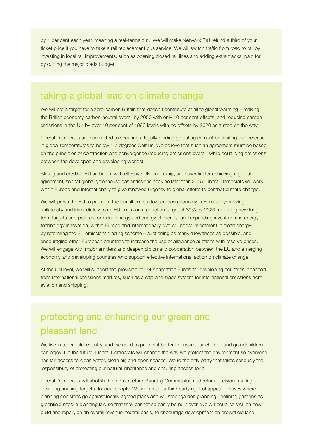by 1 per cent each year, meaning a real-terms cut. We will make Network Rail refund a third of your ticket price if you have to take a rail replacement bus service. We will switch traffic from road to rail by investing in local rail improvements, such as opening closed rail lines and adding extra tracks, paid for by cutting the major roads budget.

#### taking a global lead on climate change

We will set a target for a zero-carbon Britain that doesn't contribute at all to global warming – making the British economy carbon-neutral overall by 2050 with only 10 per cent offsets, and reducing carbon emissions in the UK by over 40 per cent of 1990 levels with no offsets by 2020 as a step on the way.

Liberal Democrats are committed to securing a legally binding global agreement on limiting the increase in global temperatures to below 1.7 degrees Celsius. We believe that such an agreement must be based on the principles of contraction and convergence (reducing emissions overall, while equalising emissions between the developed and developing worlds).

Strong and credible EU ambition, with effective UK leadership, are essential for achieving a global agreement, so that global greenhouse gas emissions peak no later than 2015. Liberal Democrats will work within Europe and internationally to give renewed urgency to global efforts to combat climate change.

We will press the EU to promote the transition to a low-carbon economy in Europe by: moving unilaterally and immediately to an EU emissions reduction target of 30% by 2020; adopting new longterm targets and policies for clean energy and energy efficiency; and expanding investment in energy technology innovation, within Europe and internationally. We will boost investment in clean energy by reforming the EU emissions trading scheme – auctioning as many allowances as possible, and encouraging other European countries to increase the use of allowance auctions with reserve prices. We will engage with major emitters and deepen diplomatic cooperation between the EU and emerging economy and developing countries who support effective international action on climate change.

At the UN level, we will support the provision of UN Adaptation Funds for developing countries, financed from international emissions markets, such as a cap-and-trade system for international emissions from aviation and shipping.

# protecting and enhancing our green and pleasant land

We live in a beautiful country, and we need to protect it better to ensure our children and grandchildren can enjoy it in the future. Liberal Democrats will change the way we protect the environment so everyone has fair access to clean water, clean air, and open spaces. We're the only party that takes seriously the responsibility of protecting our natural inheritance and ensuring access for all.

Liberal Democrats will abolish the Infrastructure Planning Commission and return decision-making, including housing targets, to local people. We will create a third party right of appeal in cases where planning decisions go against locally agreed plans and will stop 'garden grabbing', defining gardens as greenfield sites in planning law so that they cannot so easily be built over. We will equalise VAT on new build and repair, on an overall revenue-neutral basis, to encourage development on brownfield land.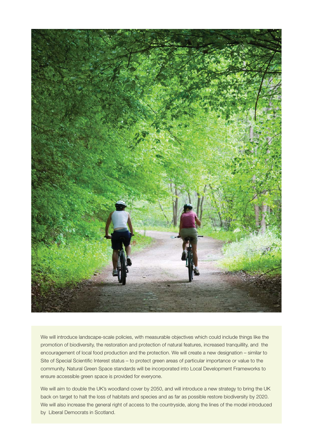

We will introduce landscape-scale policies, with measurable objectives which could include things like the promotion of biodiversity, the restoration and protection of natural features, increased tranquillity, and the encouragement of local food production and the protection. We will create a new designation – similar to Site of Special Scientific Interest status – to protect green areas of particular importance or value to the community. Natural Green Space standards will be incorporated into Local Development Frameworks to ensure accessible green space is provided for everyone.

We will aim to double the UK's woodland cover by 2050, and will introduce a new strategy to bring the UK back on target to halt the loss of habitats and species and as far as possible restore biodiversity by 2020. We will also increase the general right of access to the countryside, along the lines of the model introduced by Liberal Democrats in Scotland.